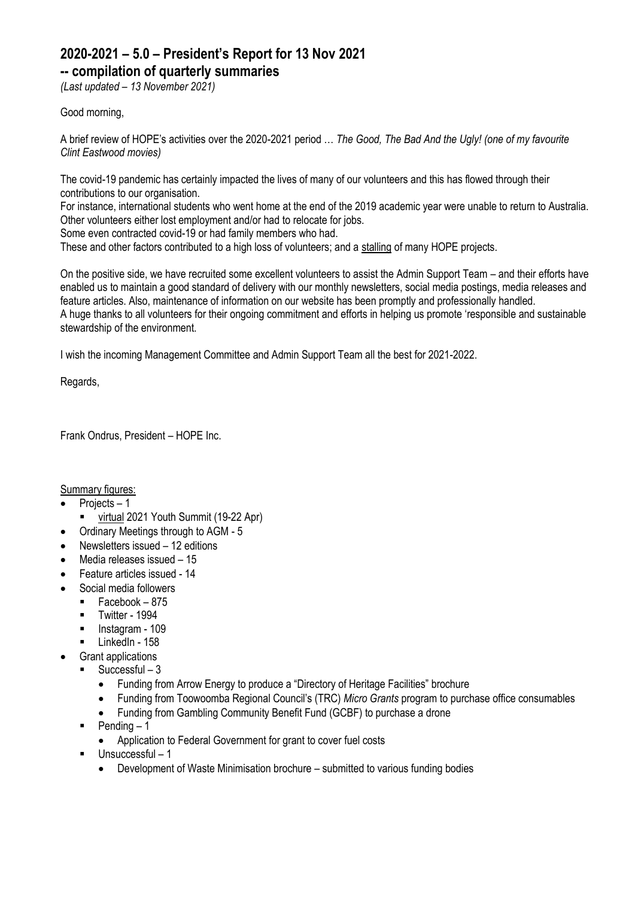## **2020-2021 – 5.0 – President's Report for 13 Nov 2021**

**-- compilation of quarterly summaries**

*(Last updated – 13 November 2021)*

#### Good morning,

A brief review of HOPE's activities over the 2020-2021 period … *The Good, The Bad And the Ugly! (one of my favourite Clint Eastwood movies)*

The covid-19 pandemic has certainly impacted the lives of many of our volunteers and this has flowed through their contributions to our organisation.

For instance, international students who went home at the end of the 2019 academic year were unable to return to Australia. Other volunteers either lost employment and/or had to relocate for jobs.

Some even contracted covid-19 or had family members who had.

These and other factors contributed to a high loss of volunteers; and a stalling of many HOPE projects.

On the positive side, we have recruited some excellent volunteers to assist the Admin Support Team – and their efforts have enabled us to maintain a good standard of delivery with our monthly newsletters, social media postings, media releases and feature articles. Also, maintenance of information on our website has been promptly and professionally handled. A huge thanks to all volunteers for their ongoing commitment and efforts in helping us promote 'responsible and sustainable stewardship of the environment.

I wish the incoming Management Committee and Admin Support Team all the best for 2021-2022.

Regards,

Frank Ondrus, President – HOPE Inc.

Summary figures:

• Projects – 1

- virtual 2021 Youth Summit (19-22 Apr)
- Ordinary Meetings through to AGM 5
- Newsletters issued 12 editions
- Media releases issued 15
- Feature articles issued 14
- Social media followers
	- Facebook 875
	- Twitter 1994<br>■ Instagram 10
	- Instagram 109
	- LinkedIn 158
	- Grant applications
		- $\blacksquare$  Successful 3
			- Funding from Arrow Energy to produce a "Directory of Heritage Facilities" brochure
			- Funding from Toowoomba Regional Council's (TRC) *Micro Grants* program to purchase office consumables
			- Funding from Gambling Community Benefit Fund (GCBF) to purchase a drone
		- $\blacksquare$  Pending  $-1$ 
			- Application to Federal Government for grant to cover fuel costs
		- Unsuccessful 1
			- Development of Waste Minimisation brochure submitted to various funding bodies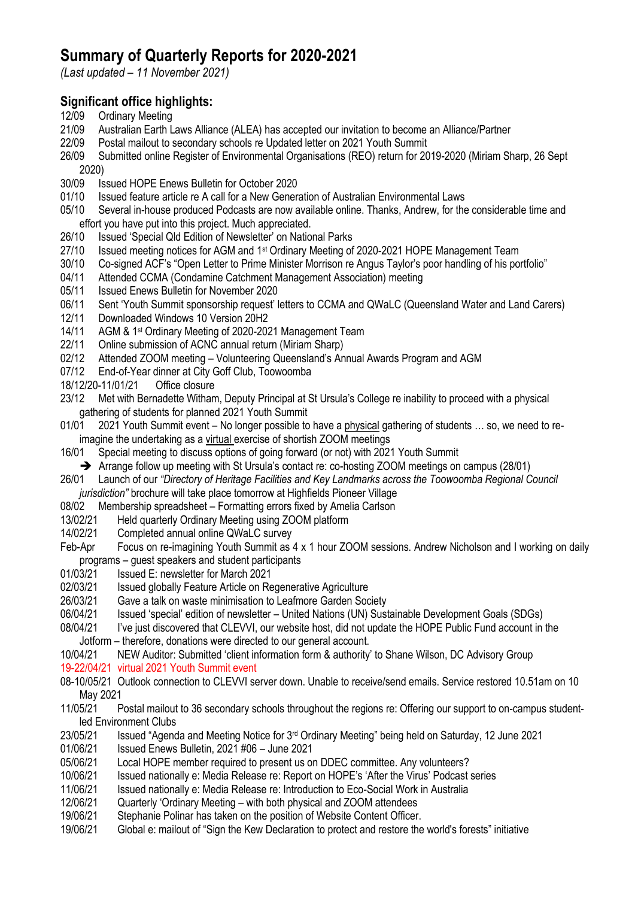# **Summary of Quarterly Reports for 2020-2021**

*(Last updated – 11 November 2021)*

## **Significant office highlights:**

- 12/09 Ordinary Meeting
- 21/09 Australian Earth Laws Alliance (ALEA) has accepted our invitation to become an Alliance/Partner
- 22/09 Postal mailout to secondary schools re Updated letter on 2021 Youth Summit
- 26/09 Submitted online Register of Environmental Organisations (REO) return for 2019-2020 (Miriam Sharp, 26 Sept 2020)
- 30/09 Issued HOPE Enews Bulletin for October 2020<br>01/10 Issued feature article re A call for a New Gener
- 01/10 Issued feature article re A call for a New Generation of Australian Environmental Laws
- 05/10 Several in-house produced Podcasts are now available online. Thanks, Andrew, for the considerable time and effort you have put into this project. Much appreciated.
- 26/10 Issued 'Special Qld Edition of Newsletter' on National Parks
- 27/10 Issued meeting notices for AGM and 1<sup>st</sup> Ordinary Meeting of 2020-2021 HOPE Management Team
- 30/10 Co-signed ACF's "Open Letter to Prime Minister Morrison re Angus Taylor's poor handling of his portfolio"<br>04/11 Attended CCMA (Condamine Catchment Management Association) meeting
- Attended CCMA (Condamine Catchment Management Association) meeting
- 05/11 Issued Enews Bulletin for November 2020
- 06/11 Sent 'Youth Summit sponsorship request' letters to CCMA and QWaLC (Queensland Water and Land Carers)
- 12/11 Downloaded Windows 10 Version 20H2
- 14/11 AGM & 1st Ordinary Meeting of 2020-2021 Management Team
- 22/11 Online submission of ACNC annual return (Miriam Sharp)<br>02/12 Attended ZOOM meeting Volunteering Queensland's An
- Attended ZOOM meeting Volunteering Queensland's Annual Awards Program and AGM
- 07/12 End-of-Year dinner at City Goff Club, Toowoomba
- 18/12/20-11/01/21 Office closure
- 23/12 Met with Bernadette Witham, Deputy Principal at St Ursula's College re inability to proceed with a physical gathering of students for planned 2021 Youth Summit
- 01/01 2021 Youth Summit event No longer possible to have a physical gathering of students ... so, we need to reimagine the undertaking as a virtual exercise of shortish ZOOM meetings
- 16/01 Special meeting to discuss options of going forward (or not) with 2021 Youth Summit
- ➔ Arrange follow up meeting with St Ursula's contact re: co-hosting ZOOM meetings on campus (28/01)
- 26/01 Launch of our *"Directory of Heritage Facilities and Key Landmarks across the Toowoomba Regional Council jurisdiction"* brochure will take place tomorrow at Highfields Pioneer Village
- 08/02 Membership spreadsheet Formatting errors fixed by Amelia Carlson
- 13/02/21 Held quarterly Ordinary Meeting using ZOOM platform
- 14/02/21 Completed annual online QWaLC survey
- Feb-Apr Focus on re-imagining Youth Summit as 4 x 1 hour ZOOM sessions. Andrew Nicholson and I working on daily programs – guest speakers and student participants
- 01/03/21 Issued E: newsletter for March 2021
- 
- 02/03/21 Issued globally Feature Article on Regenerative Agriculture<br>26/03/21 Gave a talk on waste minimisation to Leafmore Garden Soc Gave a talk on waste minimisation to Leafmore Garden Society
- 06/04/21 Issued 'special' edition of newsletter United Nations (UN) Sustainable Development Goals (SDGs)
- 08/04/21 I've just discovered that CLEVVI, our website host, did not update the HOPE Public Fund account in the Jotform – therefore, donations were directed to our general account.
- 10/04/21 NEW Auditor: Submitted 'client information form & authority' to Shane Wilson, DC Advisory Group
- 19-22/04/21 virtual 2021 Youth Summit event
- 08-10/05/21 Outlook connection to CLEVVI server down. Unable to receive/send emails. Service restored 10.51am on 10 May 2021
- 11/05/21 Postal mailout to 36 secondary schools throughout the regions re: Offering our support to on-campus studentled Environment Clubs
- 23/05/21 Issued "Agenda and Meeting Notice for 3rd Ordinary Meeting" being held on Saturday, 12 June 2021
- 01/06/21 Issued Enews Bulletin, 2021 #06 June 2021

05/06/21 Local HOPE member required to present us on DDEC committee. Any volunteers?

- 10/06/21 Issued nationally e: Media Release re: Report on HOPE's 'After the Virus' Podcast series
- 11/06/21 Issued nationally e: Media Release re: Introduction to Eco-Social Work in Australia
- 12/06/21 Quarterly 'Ordinary Meeting with both physical and ZOOM attendees
- 19/06/21 Stephanie Polinar has taken on the position of Website Content Officer.
- 19/06/21 Global e: mailout of "Sign the Kew Declaration to protect and restore the world's forests" initiative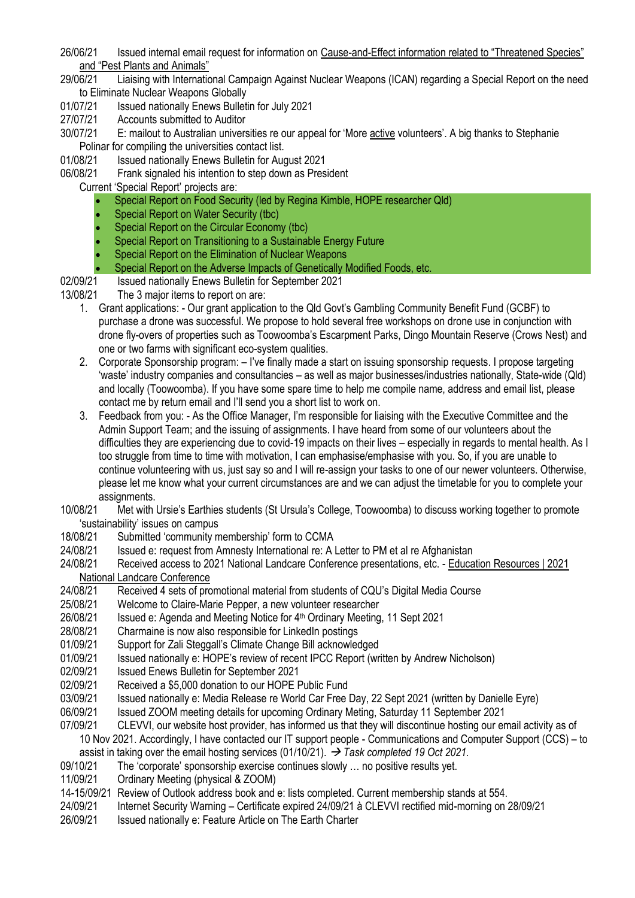- 26/06/21 Issued internal email request for information on Cause-and-Effect information related to "Threatened Species" and "Pest Plants and Animals"<br>29/06/21 Liaising with International
- Liaising with International Campaign Against Nuclear Weapons (ICAN) regarding a Special Report on the need to Eliminate Nuclear Weapons Globally
- 01/07/21 Issued nationally Enews Bulletin for July 2021
- 27/07/21 Accounts submitted to Auditor
- 30/07/21 E: mailout to Australian universities re our appeal for 'More active volunteers'. A big thanks to Stephanie Polinar for compiling the universities contact list.
- 
- 01/08/21 Issued nationally Enews Bulletin for August 2021<br>06/08/21 Frank signaled his intention to step down as Pres Frank signaled his intention to step down as President
	- Current 'Special Report' projects are:
		- Special Report on Food Security (led by Regina Kimble, HOPE researcher Qld)
		- Special Report on Water Security (tbc)
		- Special Report on the Circular Economy (tbc)
		- Special Report on Transitioning to a Sustainable Energy Future
		- Special Report on the Elimination of Nuclear Weapons
		- Special Report on the Adverse Impacts of Genetically Modified Foods, etc.
- 02/09/21 Issued nationally Enews Bulletin for September 2021
- 13/08/21 The 3 major items to report on are:
	- 1. Grant applications: Our grant application to the Qld Govt's Gambling Community Benefit Fund (GCBF) to purchase a drone was successful. We propose to hold several free workshops on drone use in conjunction with drone fly-overs of properties such as Toowoomba's Escarpment Parks, Dingo Mountain Reserve (Crows Nest) and one or two farms with significant eco-system qualities.
	- 2. Corporate Sponsorship program: I've finally made a start on issuing sponsorship requests. I propose targeting 'waste' industry companies and consultancies – as well as major businesses/industries nationally, State-wide (Qld) and locally (Toowoomba). If you have some spare time to help me compile name, address and email list, please contact me by return email and I'll send you a short list to work on.
	- 3. Feedback from you: As the Office Manager, I'm responsible for liaising with the Executive Committee and the Admin Support Team; and the issuing of assignments. I have heard from some of our volunteers about the difficulties they are experiencing due to covid-19 impacts on their lives – especially in regards to mental health. As I too struggle from time to time with motivation, I can emphasise/emphasise with you. So, if you are unable to continue volunteering with us, just say so and I will re-assign your tasks to one of our newer volunteers. Otherwise, please let me know what your current circumstances are and we can adjust the timetable for you to complete your assignments.
- 10/08/21 Met with Ursie's Earthies students (St Ursula's College, Toowoomba) to discuss working together to promote 'sustainability' issues on campus
- 18/08/21 Submitted 'community membership' form to CCMA
- 24/08/21 Issued e: request from Amnesty International re: A Letter to PM et al re Afghanistan
- 24/08/21 Received access to 2021 National Landcare Conference presentations, etc. [Education Resources | 2021](https://nationallandcareconference.org.au/education-resources/?)  [National Landcare Conference](https://nationallandcareconference.org.au/education-resources/?)
- 24/08/21 Received 4 sets of promotional material from students of CQU's Digital Media Course
- 25/08/21 Welcome to Claire-Marie Pepper, a new volunteer researcher
- 26/08/21 Issued e: Agenda and Meeting Notice for 4<sup>th</sup> Ordinary Meeting, 11 Sept 2021
- 28/08/21 Charmaine is now also responsible for LinkedIn postings
- 01/09/21 Support for Zali Steggall's Climate Change Bill acknowledged
- 01/09/21 Issued nationally e: HOPE's review of recent IPCC Report (written by Andrew Nicholson)
- 02/09/21 Issued Enews Bulletin for September 2021
- 02/09/21 Received a \$5,000 donation to our HOPE Public Fund
- 03/09/21 Issued nationally e: Media Release re World Car Free Day, 22 Sept 2021 (written by Danielle Eyre)
- 06/09/21 Issued ZOOM meeting details for upcoming Ordinary Meting, Saturday 11 September 2021
- 07/09/21 CLEVVI, our website host provider, has informed us that they will discontinue hosting our email activity as of
- 10 Nov 2021. Accordingly, I have contacted our IT support people Communications and Computer Support (CCS) to assist in taking over the email hosting services (01/10/21). → *Task completed 19 Oct 2021.*
- 09/10/21 The 'corporate' sponsorship exercise continues slowly … no positive results yet.
- 11/09/21 Ordinary Meeting (physical & ZOOM)
- 14-15/09/21 Review of Outlook address book and e: lists completed. Current membership stands at 554.
- 24/09/21 Internet Security Warning Certificate expired 24/09/21 à CLEVVI rectified mid-morning on 28/09/21
- 26/09/21 Issued nationally e: Feature Article on The Earth Charter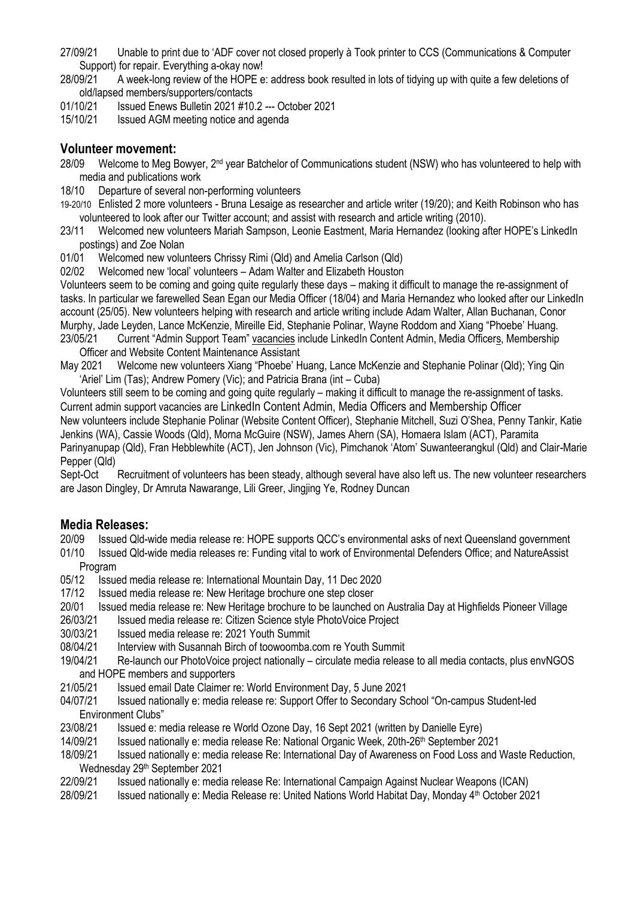- 27/09/21 Unable to print due to 'ADF cover not closed properly à Took printer to CCS (Communications & Computer Support) for repair. Everything a-okay now!
- 28/09/21 A week-long review of the HOPE e: address book resulted in lots of tidying up with quite a few deletions of old/lapsed members/supporters/contacts
- 01/10/21 Issued Enews Bulletin 2021 #10.2 --- October 2021
- 15/10/21 Issued AGM meeting notice and agenda

#### **Volunteer movement:**

- 28/09 Welcome to Meg Bowyer, 2<sup>nd</sup> year Batchelor of Communications student (NSW) who has volunteered to help with media and publications work
- 18/10 Departure of several non-performing volunteers
- 19-20/10 Enlisted 2 more volunteers Bruna Lesaige as researcher and article writer (19/20); and Keith Robinson who has volunteered to look after our Twitter account; and assist with research and article writing (2010).
- 23/11 Welcomed new volunteers Mariah Sampson, Leonie Eastment, Maria Hernandez (looking after HOPE's LinkedIn postings) and Zoe Nolan
- 01/01 Welcomed new volunteers Chrissy Rimi (Qld) and Amelia Carlson (Qld)
- 02/02 Welcomed new 'local' volunteers Adam Walter and Elizabeth Houston

Volunteers seem to be coming and going quite regularly these days – making it difficult to manage the re-assignment of tasks. In particular we farewelled Sean Egan our Media Officer (18/04) and Maria Hernandez who looked after our LinkedIn account (25/05). New volunteers helping with research and article writing include Adam Walter, Allan Buchanan, Conor Murphy, Jade Leyden, Lance McKenzie, Mireille Eid, Stephanie Polinar, Wayne Roddom and Xiang "Phoebe' Huang.

23/05/21 Current "Admin Support Team" vacancies include LinkedIn Content Admin, Media Officers, Membership Officer and Website Content Maintenance Assistant

May 2021 Welcome new volunteers Xiang "Phoebe' Huang, Lance McKenzie and Stephanie Polinar (Qld); Ying Qin 'Ariel' Lim (Tas); Andrew Pomery (Vic); and Patricia Brana (int – Cuba)

Volunteers still seem to be coming and going quite regularly – making it difficult to manage the re-assignment of tasks. Current admin support vacancies are LinkedIn Content Admin, Media Officers and Membership Officer New volunteers include Stephanie Polinar (Website Content Officer), Stephanie Mitchell, Suzi O'Shea, Penny Tankir, Katie Jenkins (WA), Cassie Woods (Qld), Morna McGuire (NSW), James Ahern (SA), Homaera Islam (ACT), Paramita Parinyanupap (Qld), Fran Hebblewhite (ACT), Jen Johnson (Vic), Pimchanok 'Atom' Suwanteerangkul (Qld) and Clair-Marie Pepper (Qld)

Sept-Oct Recruitment of volunteers has been steady, although several have also left us. The new volunteer researchers are Jason Dingley, Dr Amruta Nawarange, Lili Greer, Jingjing Ye, Rodney Duncan

#### **Media Releases:**

20/09 Issued Qld-wide media release re: HOPE supports QCC's environmental asks of next Queensland government

- 01/10 Issued Qld-wide media releases re: Funding vital to work of Environmental Defenders Office; and NatureAssist Program
- 05/12 Issued media release re: International Mountain Day, 11 Dec 2020
- 17/12 Issued media release re: New Heritage brochure one step closer
- 20/01 Issued media release re: New Heritage brochure to be launched on Australia Day at Highfields Pioneer Village
- 26/03/21 Issued media release re: Citizen Science style PhotoVoice Project
- 30/03/21 Issued media release re: 2021 Youth Summit
- 08/04/21 Interview with Susannah Birch of toowoomba.com re Youth Summit
- 19/04/21 Re-launch our PhotoVoice project nationally circulate media release to all media contacts, plus envNGOS and HOPE members and supporters
- 21/05/21 Issued email Date Claimer re: World Environment Day, 5 June 2021
- 04/07/21 Issued nationally e: media release re: Support Offer to Secondary School "On-campus Student-led Environment Clubs"
- 23/08/21 Issued e: media release re World Ozone Day, 16 Sept 2021 (written by Danielle Eyre)<br>14/09/21 Issued nationally e: media release Re: National Organic Week. 20th-26<sup>th</sup> September 2
- 14/09/21 Issued nationally e: media release Re: National Organic Week, 20th-26th September 2021
- 18/09/21 Issued nationally e: media release Re: International Day of Awareness on Food Loss and Waste Reduction, Wednesday 29th September 2021
- 22/09/21 Issued nationally e: media release Re: International Campaign Against Nuclear Weapons (ICAN)
- 28/09/21 Issued nationally e: Media Release re: United Nations World Habitat Day, Monday 4th October 2021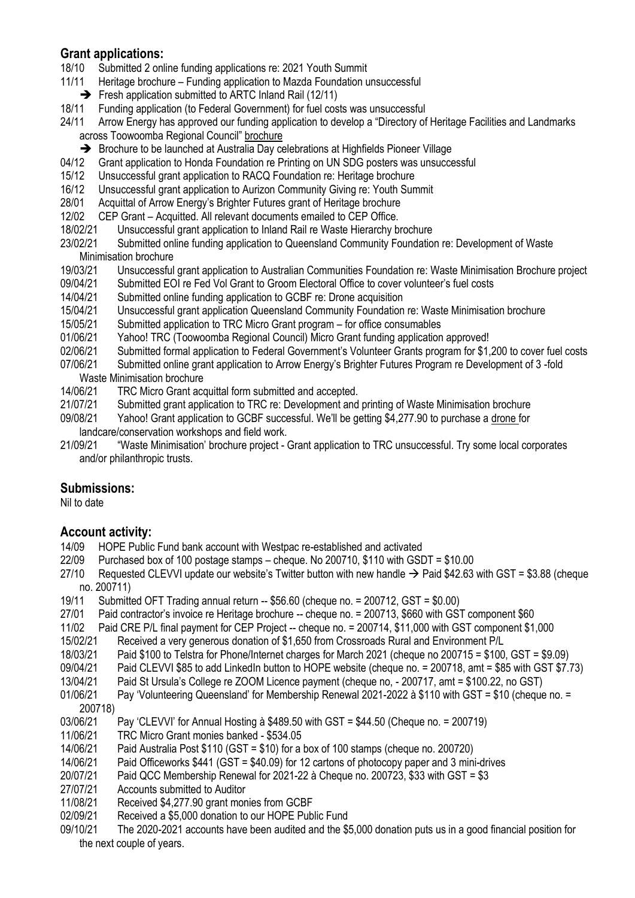### **Grant applications:**

- 18/10 Submitted 2 online funding applications re: 2021 Youth Summit
- 11/11 Heritage brochure Funding application to Mazda Foundation unsuccessful
	- ➔ Fresh application submitted to ARTC Inland Rail (12/11)
- 18/11 Funding application (to Federal Government) for fuel costs was unsuccessful
- 24/11 Arrow Energy has approved our funding application to develop a "Directory of Heritage Facilities and Landmarks across Toowoomba Regional Council" brochure
	- → Brochure to be launched at Australia Day celebrations at Highfields Pioneer Village
- 04/12 Grant application to Honda Foundation re Printing on UN SDG posters was unsuccessful
- 15/12 Unsuccessful grant application to RACQ Foundation re: Heritage brochure
- 16/12 Unsuccessful grant application to Aurizon Community Giving re: Youth Summit
- 28/01 Acquittal of Arrow Energy's Brighter Futures grant of Heritage brochure
- 12/02 CEP Grant Acquitted. All relevant documents emailed to CEP Office.
- 18/02/21 Unsuccessful grant application to Inland Rail re Waste Hierarchy brochure

23/02/21 Submitted online funding application to Queensland Community Foundation re: Development of Waste Minimisation brochure

- 19/03/21 Unsuccessful grant application to Australian Communities Foundation re: Waste Minimisation Brochure project
- 09/04/21 Submitted EOI re Fed Vol Grant to Groom Electoral Office to cover volunteer's fuel costs
- 14/04/21 Submitted online funding application to GCBF re: Drone acquisition
- 15/04/21 Unsuccessful grant application Queensland Community Foundation re: Waste Minimisation brochure
- 15/05/21 Submitted application to TRC Micro Grant program for office consumables
- 01/06/21 Yahoo! TRC (Toowoomba Regional Council) Micro Grant funding application approved!
- 02/06/21 Submitted formal application to Federal Government's Volunteer Grants program for \$1,200 to cover fuel costs
- 07/06/21 Submitted online grant application to Arrow Energy's Brighter Futures Program re Development of 3 -fold Waste Minimisation brochure
- 14/06/21 TRC Micro Grant acquittal form submitted and accepted.
- 21/07/21 Submitted grant application to TRC re: Development and printing of Waste Minimisation brochure
- 09/08/21 Yahoo! Grant application to GCBF successful. We'll be getting \$4,277.90 to purchase a drone for landcare/conservation workshops and field work.
- 21/09/21 "Waste Minimisation' brochure project Grant application to TRC unsuccessful. Try some local corporates and/or philanthropic trusts.

#### **Submissions:**

Nil to date

#### **Account activity:**

- 14/09 HOPE Public Fund bank account with Westpac re-established and activated
- 22/09 Purchased box of 100 postage stamps cheque. No 200710, \$110 with GSDT = \$10.00
- 27/10 Requested CLEVVI update our website's Twitter button with new handle  $\rightarrow$  Paid \$42.63 with GST = \$3.88 (cheque no. 200711)
- 19/11 Submitted OFT Trading annual return -- \$56.60 (cheque no. = 200712, GST = \$0.00)
- 27/01 Paid contractor's invoice re Heritage brochure -- cheque no. = 200713, \$660 with GST component \$60
- 11/02 Paid CRE P/L final payment for CEP Project -- cheque no. = 200714, \$11,000 with GST component \$1,000
- 15/02/21 Received a very generous donation of \$1,650 from Crossroads Rural and Environment P/L
- 18/03/21 Paid \$100 to Telstra for Phone/Internet charges for March 2021 (cheque no 200715 = \$100, GST = \$9.09)
- 09/04/21 Paid CLEVVI \$85 to add LinkedIn button to HOPE website (cheque no. = 200718, amt = \$85 with GST \$7.73)
- 13/04/21 Paid St Ursula's College re ZOOM Licence payment (cheque no, 200717, amt = \$100.22, no GST)
- 01/06/21 Pay 'Volunteering Queensland' for Membership Renewal 2021-2022 à \$110 with GST = \$10 (cheque no. =
- 200718)
- 03/06/21 Pay 'CLEVVI' for Annual Hosting à \$489.50 with GST = \$44.50 (Cheque no. = 200719)
- 11/06/21 TRC Micro Grant monies banked \$534.05
- 14/06/21 Paid Australia Post \$110 (GST = \$10) for a box of 100 stamps (cheque no. 200720)
- 14/06/21 Paid Officeworks \$441 (GST = \$40.09) for 12 cartons of photocopy paper and 3 mini-drives
- 20/07/21 Paid QCC Membership Renewal for 2021-22 à Cheque no. 200723, \$33 with GST = \$3
- 27/07/21 Accounts submitted to Auditor
- 11/08/21 Received \$4,277.90 grant monies from GCBF
- 02/09/21 Received a \$5,000 donation to our HOPE Public Fund
- 09/10/21 The 2020-2021 accounts have been audited and the \$5,000 donation puts us in a good financial position for the next couple of years.